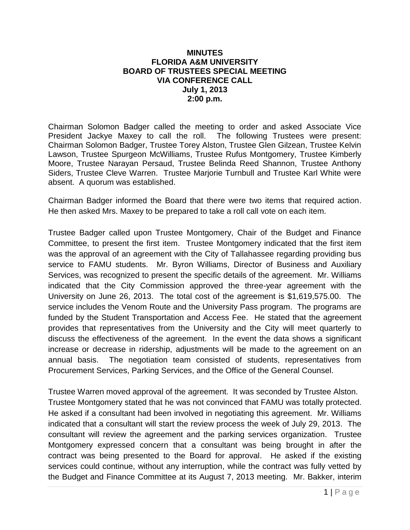## **MINUTES FLORIDA A&M UNIVERSITY BOARD OF TRUSTEES SPECIAL MEETING VIA CONFERENCE CALL July 1, 2013 2:00 p.m.**

Chairman Solomon Badger called the meeting to order and asked Associate Vice President Jackye Maxey to call the roll. The following Trustees were present: Chairman Solomon Badger, Trustee Torey Alston, Trustee Glen Gilzean, Trustee Kelvin Lawson, Trustee Spurgeon McWilliams, Trustee Rufus Montgomery, Trustee Kimberly Moore, Trustee Narayan Persaud, Trustee Belinda Reed Shannon, Trustee Anthony Siders, Trustee Cleve Warren. Trustee Marjorie Turnbull and Trustee Karl White were absent. A quorum was established.

Chairman Badger informed the Board that there were two items that required action. He then asked Mrs. Maxey to be prepared to take a roll call vote on each item.

Trustee Badger called upon Trustee Montgomery, Chair of the Budget and Finance Committee, to present the first item. Trustee Montgomery indicated that the first item was the approval of an agreement with the City of Tallahassee regarding providing bus service to FAMU students. Mr. Byron Williams, Director of Business and Auxiliary Services, was recognized to present the specific details of the agreement. Mr. Williams indicated that the City Commission approved the three-year agreement with the University on June 26, 2013. The total cost of the agreement is \$1,619,575.00. The service includes the Venom Route and the University Pass program. The programs are funded by the Student Transportation and Access Fee. He stated that the agreement provides that representatives from the University and the City will meet quarterly to discuss the effectiveness of the agreement. In the event the data shows a significant increase or decrease in ridership, adjustments will be made to the agreement on an annual basis. The negotiation team consisted of students, representatives from Procurement Services, Parking Services, and the Office of the General Counsel.

Trustee Warren moved approval of the agreement. It was seconded by Trustee Alston. Trustee Montgomery stated that he was not convinced that FAMU was totally protected. He asked if a consultant had been involved in negotiating this agreement. Mr. Williams indicated that a consultant will start the review process the week of July 29, 2013. The consultant will review the agreement and the parking services organization. Trustee Montgomery expressed concern that a consultant was being brought in after the contract was being presented to the Board for approval. He asked if the existing services could continue, without any interruption, while the contract was fully vetted by the Budget and Finance Committee at its August 7, 2013 meeting. Mr. Bakker, interim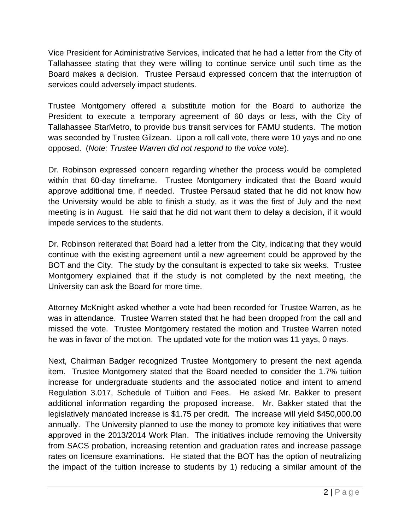Vice President for Administrative Services, indicated that he had a letter from the City of Tallahassee stating that they were willing to continue service until such time as the Board makes a decision. Trustee Persaud expressed concern that the interruption of services could adversely impact students.

Trustee Montgomery offered a substitute motion for the Board to authorize the President to execute a temporary agreement of 60 days or less, with the City of Tallahassee StarMetro, to provide bus transit services for FAMU students. The motion was seconded by Trustee Gilzean. Upon a roll call vote, there were 10 yays and no one opposed. (*Note: Trustee Warren did not respond to the voice vote*).

Dr. Robinson expressed concern regarding whether the process would be completed within that 60-day timeframe. Trustee Montgomery indicated that the Board would approve additional time, if needed. Trustee Persaud stated that he did not know how the University would be able to finish a study, as it was the first of July and the next meeting is in August. He said that he did not want them to delay a decision, if it would impede services to the students.

Dr. Robinson reiterated that Board had a letter from the City, indicating that they would continue with the existing agreement until a new agreement could be approved by the BOT and the City. The study by the consultant is expected to take six weeks. Trustee Montgomery explained that if the study is not completed by the next meeting, the University can ask the Board for more time.

Attorney McKnight asked whether a vote had been recorded for Trustee Warren, as he was in attendance. Trustee Warren stated that he had been dropped from the call and missed the vote. Trustee Montgomery restated the motion and Trustee Warren noted he was in favor of the motion. The updated vote for the motion was 11 yays, 0 nays.

Next, Chairman Badger recognized Trustee Montgomery to present the next agenda item. Trustee Montgomery stated that the Board needed to consider the 1.7% tuition increase for undergraduate students and the associated notice and intent to amend Regulation 3.017, Schedule of Tuition and Fees. He asked Mr. Bakker to present additional information regarding the proposed increase. Mr. Bakker stated that the legislatively mandated increase is \$1.75 per credit. The increase will yield \$450,000.00 annually. The University planned to use the money to promote key initiatives that were approved in the 2013/2014 Work Plan. The initiatives include removing the University from SACS probation, increasing retention and graduation rates and increase passage rates on licensure examinations. He stated that the BOT has the option of neutralizing the impact of the tuition increase to students by 1) reducing a similar amount of the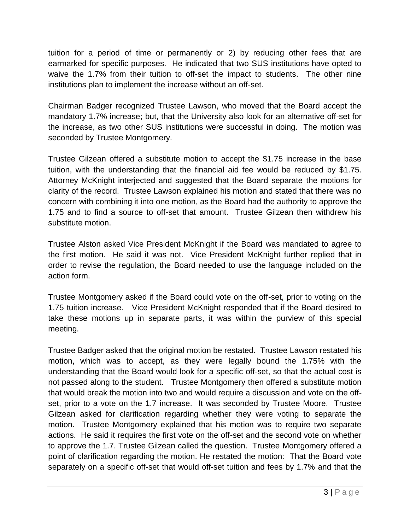tuition for a period of time or permanently or 2) by reducing other fees that are earmarked for specific purposes. He indicated that two SUS institutions have opted to waive the 1.7% from their tuition to off-set the impact to students. The other nine institutions plan to implement the increase without an off-set.

Chairman Badger recognized Trustee Lawson, who moved that the Board accept the mandatory 1.7% increase; but, that the University also look for an alternative off-set for the increase, as two other SUS institutions were successful in doing. The motion was seconded by Trustee Montgomery.

Trustee Gilzean offered a substitute motion to accept the \$1.75 increase in the base tuition, with the understanding that the financial aid fee would be reduced by \$1.75. Attorney McKnight interjected and suggested that the Board separate the motions for clarity of the record. Trustee Lawson explained his motion and stated that there was no concern with combining it into one motion, as the Board had the authority to approve the 1.75 and to find a source to off-set that amount. Trustee Gilzean then withdrew his substitute motion.

Trustee Alston asked Vice President McKnight if the Board was mandated to agree to the first motion. He said it was not. Vice President McKnight further replied that in order to revise the regulation, the Board needed to use the language included on the action form.

Trustee Montgomery asked if the Board could vote on the off-set, prior to voting on the 1.75 tuition increase. Vice President McKnight responded that if the Board desired to take these motions up in separate parts, it was within the purview of this special meeting.

Trustee Badger asked that the original motion be restated. Trustee Lawson restated his motion, which was to accept, as they were legally bound the 1.75% with the understanding that the Board would look for a specific off-set, so that the actual cost is not passed along to the student. Trustee Montgomery then offered a substitute motion that would break the motion into two and would require a discussion and vote on the offset, prior to a vote on the 1.7 increase. It was seconded by Trustee Moore. Trustee Gilzean asked for clarification regarding whether they were voting to separate the motion. Trustee Montgomery explained that his motion was to require two separate actions. He said it requires the first vote on the off-set and the second vote on whether to approve the 1.7. Trustee Gilzean called the question. Trustee Montgomery offered a point of clarification regarding the motion. He restated the motion: That the Board vote separately on a specific off-set that would off-set tuition and fees by 1.7% and that the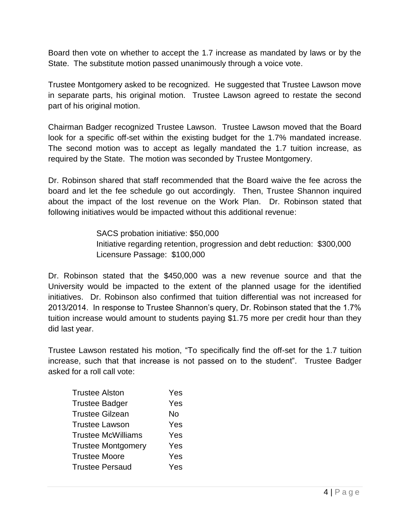Board then vote on whether to accept the 1.7 increase as mandated by laws or by the State. The substitute motion passed unanimously through a voice vote.

Trustee Montgomery asked to be recognized. He suggested that Trustee Lawson move in separate parts, his original motion. Trustee Lawson agreed to restate the second part of his original motion.

Chairman Badger recognized Trustee Lawson. Trustee Lawson moved that the Board look for a specific off-set within the existing budget for the 1.7% mandated increase. The second motion was to accept as legally mandated the 1.7 tuition increase, as required by the State. The motion was seconded by Trustee Montgomery.

Dr. Robinson shared that staff recommended that the Board waive the fee across the board and let the fee schedule go out accordingly. Then, Trustee Shannon inquired about the impact of the lost revenue on the Work Plan. Dr. Robinson stated that following initiatives would be impacted without this additional revenue:

> SACS probation initiative: \$50,000 Initiative regarding retention, progression and debt reduction: \$300,000 Licensure Passage: \$100,000

Dr. Robinson stated that the \$450,000 was a new revenue source and that the University would be impacted to the extent of the planned usage for the identified initiatives. Dr. Robinson also confirmed that tuition differential was not increased for 2013/2014. In response to Trustee Shannon's query, Dr. Robinson stated that the 1.7% tuition increase would amount to students paying \$1.75 more per credit hour than they did last year.

Trustee Lawson restated his motion, "To specifically find the off-set for the 1.7 tuition increase, such that that increase is not passed on to the student". Trustee Badger asked for a roll call vote:

| Yes |
|-----|
| Yes |
| No  |
| Yes |
| Yes |
| Yes |
| Yes |
| Yes |
|     |